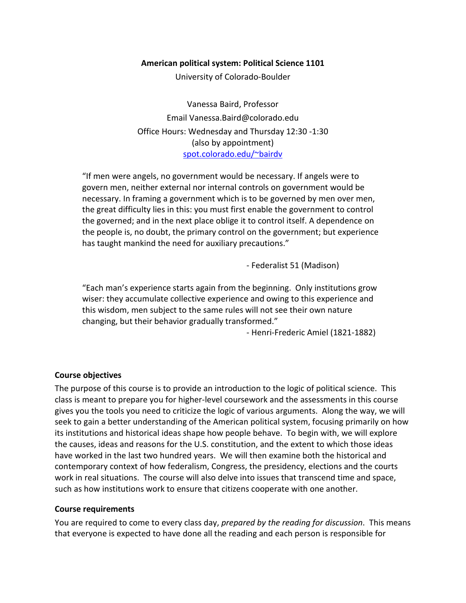### **American political system: Political Science 1101**

University of Colorado-Boulder

Vanessa Baird, Professor Email Vanessa.Baird@colorado.edu Office Hours: Wednesday and Thursday 12:30 -1:30 (also by appointment) spot.colorado.edu/~bairdv

"If men were angels, no government would be necessary. If angels were to govern men, neither external nor internal controls on government would be necessary. In framing a government which is to be governed by men over men, the great difficulty lies in this: you must first enable the government to control the governed; and in the next place oblige it to control itself. A dependence on the people is, no doubt, the primary control on the government; but experience has taught mankind the need for auxiliary precautions."

- Federalist 51 (Madison)

"Each man's experience starts again from the beginning. Only institutions grow wiser: they accumulate collective experience and owing to this experience and this wisdom, men subject to the same rules will not see their own nature changing, but their behavior gradually transformed."

- Henri-Frederic Amiel (1821-1882)

## **Course objectives**

The purpose of this course is to provide an introduction to the logic of political science. This class is meant to prepare you for higher-level coursework and the assessments in this course gives you the tools you need to criticize the logic of various arguments. Along the way, we will seek to gain a better understanding of the American political system, focusing primarily on how its institutions and historical ideas shape how people behave. To begin with, we will explore the causes, ideas and reasons for the U.S. constitution, and the extent to which those ideas have worked in the last two hundred years. We will then examine both the historical and contemporary context of how federalism, Congress, the presidency, elections and the courts work in real situations. The course will also delve into issues that transcend time and space, such as how institutions work to ensure that citizens cooperate with one another.

#### **Course requirements**

You are required to come to every class day, *prepared by the reading for discussion*. This means that everyone is expected to have done all the reading and each person is responsible for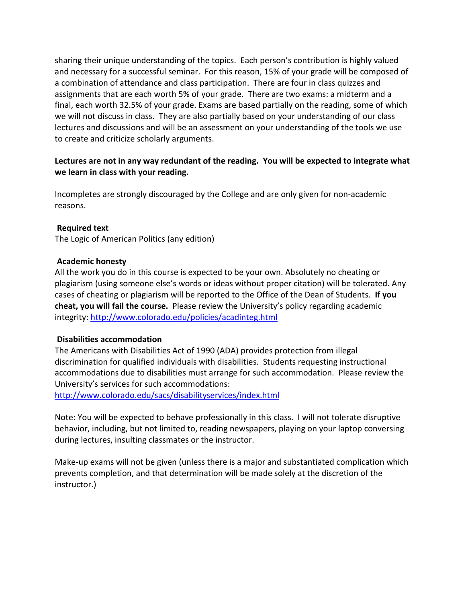sharing their unique understanding of the topics. Each person's contribution is highly valued and necessary for a successful seminar. For this reason, 15% of your grade will be composed of a combination of attendance and class participation. There are four in class quizzes and assignments that are each worth 5% of your grade. There are two exams: a midterm and a final, each worth 32.5% of your grade. Exams are based partially on the reading, some of which we will not discuss in class. They are also partially based on your understanding of our class lectures and discussions and will be an assessment on your understanding of the tools we use to create and criticize scholarly arguments.

# **Lectures are not in any way redundant of the reading. You will be expected to integrate what we learn in class with your reading.**

Incompletes are strongly discouraged by the College and are only given for non-academic reasons.

## **Required text**

The Logic of American Politics (any edition)

## **Academic honesty**

All the work you do in this course is expected to be your own. Absolutely no cheating or plagiarism (using someone else's words or ideas without proper citation) will be tolerated. Any cases of cheating or plagiarism will be reported to the Office of the Dean of Students. **If you cheat, you will fail the course.** Please review the University's policy regarding academic integrity:<http://www.colorado.edu/policies/acadinteg.html>

## **Disabilities accommodation**

The Americans with Disabilities Act of 1990 (ADA) provides protection from illegal discrimination for qualified individuals with disabilities. Students requesting instructional accommodations due to disabilities must arrange for such accommodation. Please review the University's services for such accommodations:

<http://www.colorado.edu/sacs/disabilityservices/index.html>

Note: You will be expected to behave professionally in this class. I will not tolerate disruptive behavior, including, but not limited to, reading newspapers, playing on your laptop conversing during lectures, insulting classmates or the instructor.

Make-up exams will not be given (unless there is a major and substantiated complication which prevents completion, and that determination will be made solely at the discretion of the instructor.)